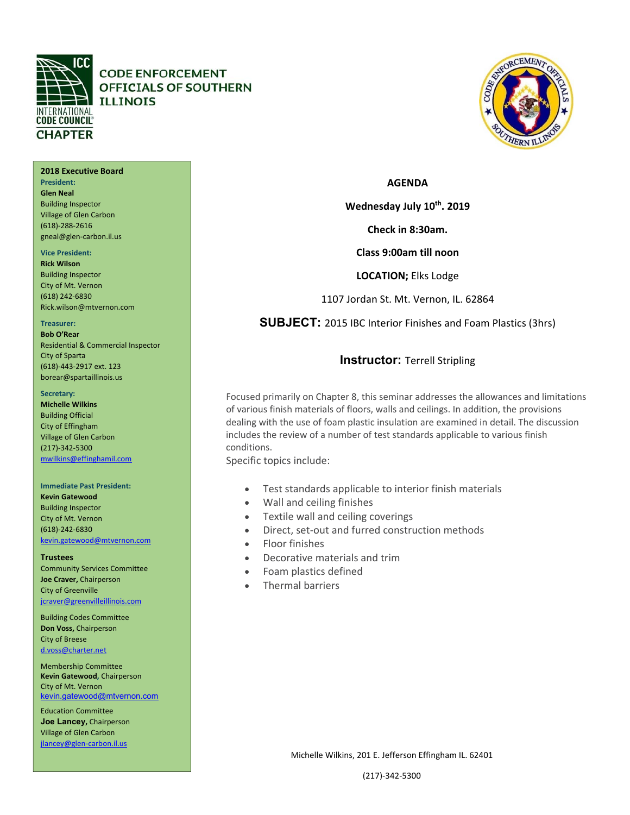

**President: Glen Neal**  Building Inspector Village of Glen Carbon (618)‐288‐2616 gneal@glen‐carbon.il.us

**Vice President: Rick Wilson**  Building Inspector City of Mt. Vernon (618) 242‐6830

**Treasurer: Bob O'Rear** 

City of Sparta

**Secretary: Michelle Wilkins**  Building Official City of Effingham Village of Glen Carbon (217)‐342‐5300

**Trustees** 

Rick.wilson@mtvernon.com

(618)‐443‐2917 ext. 123 borear@spartaillinois.us

mwilkins@effinghamil.com

**Immediate Past President: Kevin Gatewood**  Building Inspector City of Mt. Vernon (618)‐242‐6830

kevin.gatewood@mtvernon.com

Community Services Committee **Joe Craver,** Chairperson City of Greenville

jcraver@greenvilleillinois.com Building Codes Committee **Don Voss,** Chairperson City of Breese d.voss@charter.net Membership Committee **Kevin Gatewood,** Chairperson

Residential & Commercial Inspector

**2018 Executive Board** 

# **CODE ENFORCEMENT** OFFICIALS OF SOUTHERN **ILLINOIS**



### **AGENDA**

Wednesday July 10<sup>th</sup>. 2019

**Check in 8:30am.** 

**Class 9:00am till noon** 

**LOCATION;** Elks Lodge

1107 Jordan St. Mt. Vernon, IL. 62864

**SUBJECT:** 2015 IBC Interior Finishes and Foam Plastics (3hrs)

## **Instructor:** Terrell Stripling

Focused primarily on Chapter 8, this seminar addresses the allowances and limitations of various finish materials of floors, walls and ceilings. In addition, the provisions dealing with the use of foam plastic insulation are examined in detail. The discussion includes the review of a number of test standards applicable to various finish conditions.

Specific topics include:

- Test standards applicable to interior finish materials
- Wall and ceiling finishes
- Textile wall and ceiling coverings
- Direct, set-out and furred construction methods
- Floor finishes
- Decorative materials and trim
- Foam plastics defined
- Thermal barriers

 kevin.gatewood@mtvernon.com City of Mt. Vernon

Education Committee **Joe Lancey,** Chairperson Village of Glen Carbon jlancey@glen‐carbon.il.us

Michelle Wilkins, 201 E. Jefferson Effingham IL. 62401